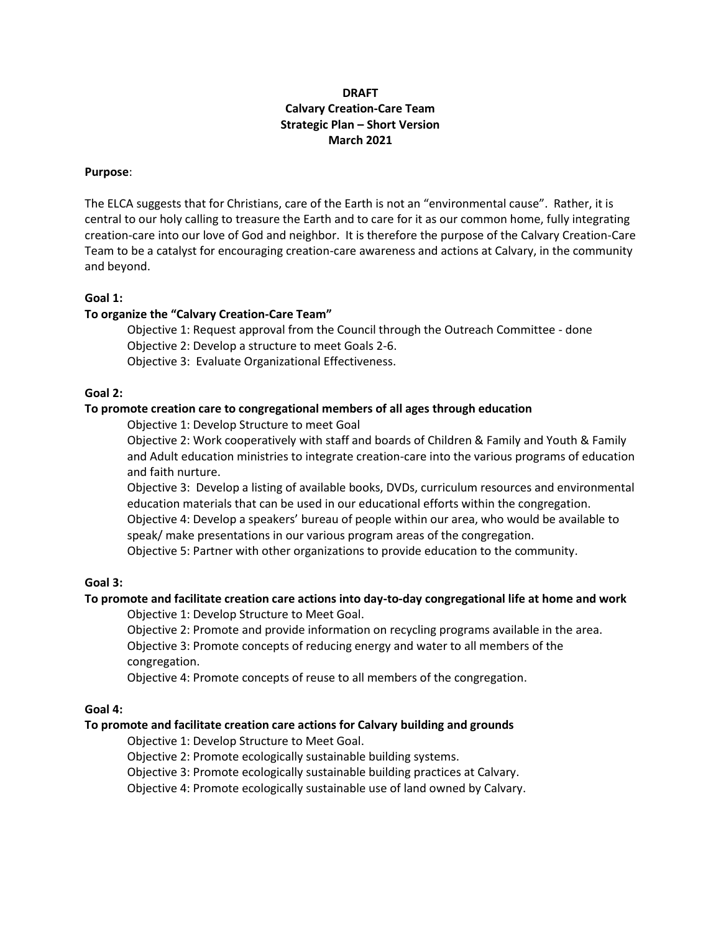# **DRAFT Calvary Creation-Care Team Strategic Plan – Short Version March 2021**

#### **Purpose**:

The ELCA suggests that for Christians, care of the Earth is not an "environmental cause". Rather, it is central to our holy calling to treasure the Earth and to care for it as our common home, fully integrating creation-care into our love of God and neighbor. It is therefore the purpose of the Calvary Creation-Care Team to be a catalyst for encouraging creation-care awareness and actions at Calvary, in the community and beyond.

#### **Goal 1:**

### **To organize the "Calvary Creation-Care Team"**

Objective 1: Request approval from the Council through the Outreach Committee - done Objective 2: Develop a structure to meet Goals 2-6.

Objective 3: Evaluate Organizational Effectiveness.

#### **Goal 2:**

### **To promote creation care to congregational members of all ages through education**

Objective 1: Develop Structure to meet Goal

Objective 2: Work cooperatively with staff and boards of Children & Family and Youth & Family and Adult education ministries to integrate creation-care into the various programs of education and faith nurture.

Objective 3: Develop a listing of available books, DVDs, curriculum resources and environmental education materials that can be used in our educational efforts within the congregation. Objective 4: Develop a speakers' bureau of people within our area, who would be available to speak/ make presentations in our various program areas of the congregation.

Objective 5: Partner with other organizations to provide education to the community.

## **Goal 3:**

### **To promote and facilitate creation care actions into day-to-day congregational life at home and work**

Objective 1: Develop Structure to Meet Goal.

Objective 2: Promote and provide information on recycling programs available in the area. Objective 3: Promote concepts of reducing energy and water to all members of the congregation.

Objective 4: Promote concepts of reuse to all members of the congregation.

### **Goal 4:**

### **To promote and facilitate creation care actions for Calvary building and grounds**

Objective 1: Develop Structure to Meet Goal.

Objective 2: Promote ecologically sustainable building systems.

Objective 3: Promote ecologically sustainable building practices at Calvary.

Objective 4: Promote ecologically sustainable use of land owned by Calvary.